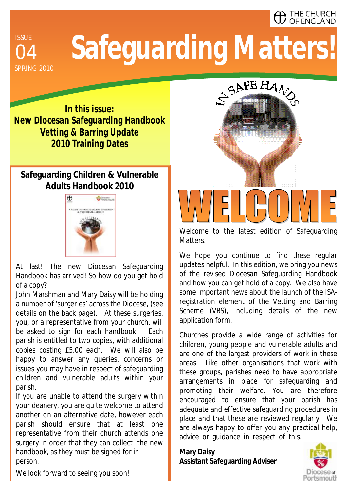#### $\blacktriangle$  THE CHURCH **OF ENGLAND**

**ISSUE** SPRING 2010

# <sup>04</sup>**Safeguarding Matters!**

**In this issue: New Diocesan Safeguarding Handbook Vetting & Barring Update 2010 Training Dates** 

#### **Safeguarding Children & Vulnerable Adults Handbook 2010**



At last! The new Diocesan Safeguarding Handbook has arrived! So how do you get hold of a copy?

John Marshman and Mary Daisy will be holding a number of 'surgeries' across the Diocese, (see details on the back page). At these surgeries, you, or a representative from your church, will be asked to sign for each handbook. Each parish is entitled to two copies, with additional copies costing £5.00 each. We will also be happy to answer any queries, concerns or issues you may have in respect of safeguarding children and vulnerable adults within your parish.

If you are unable to attend the surgery within your deanery, you are quite welcome to attend another on an alternative date, however each parish should ensure that at least one representative from their church attends one surgery in order that they can collect the new handbook, as they must be signed for in person.



Welcome to the latest edition of Safeguarding Matters.

We hope you continue to find these regular updates helpful. In this edition, we bring you news of the revised Diocesan Safeguarding Handbook and how you can get hold of a copy. We also have some important news about the launch of the ISAregistration element of the Vetting and Barring Scheme (VBS), including details of the new application form.

Churches provide a wide range of activities for children, young people and vulnerable adults and are one of the largest providers of work in these areas. Like other organisations that work with these groups, parishes need to have appropriate arrangements in place for safeguarding and promoting their welfare. You are therefore encouraged to ensure that your parish has adequate and effective safeguarding procedures in place and that these are reviewed regularly. We are always happy to offer you any practical help, advice or guidance in respect of this.

**Mary Daisy Assistant Safeguarding Adviser** 



We look forward to seeing you soon!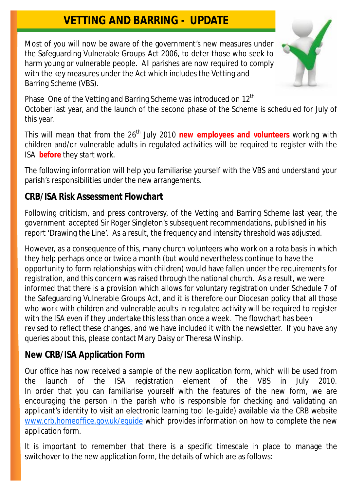### **VETTING AND BARRING - UPDATE**

Most of you will now be aware of the government's new measures under the Safeguarding Vulnerable Groups Act 2006, to deter those who seek to harm young or vulnerable people. All parishes are now required to comply with the key measures under the Act which includes the Vetting and Barring Scheme (VBS).



Phase One of the Vetting and Barring Scheme was introduced on  $12^{\text{th}}$ October last year, and the launch of the second phase of the Scheme is scheduled for July of this year.

This will mean that from the 26<sup>th</sup> July 2010 new employees and volunteers working with children and/or vulnerable adults in regulated activities will be required to register with the ISA **before** they start work.

The following information will help you familiarise yourself with the VBS and understand your parish's responsibilities under the new arrangements.

#### **CRB/ISA Risk Assessment Flowchart**

Following criticism, and press controversy, of the Vetting and Barring Scheme last year, the government accepted Sir Roger Singleton's subsequent recommendations, published in his report 'Drawing the Line'. As a result, the frequency and intensity threshold was adjusted.

However, as a consequence of this, many church volunteers who work on a rota basis in which they help perhaps once or twice a month (but would nevertheless continue to have the opportunity to form relationships with children) would have fallen under the requirements for registration, and this concern was raised through the national church. As a result, we were informed that there is a provision which allows for voluntary registration under Schedule 7 of the Safeguarding Vulnerable Groups Act, and it is therefore our Diocesan policy that all those who work with children and vulnerable adults in regulated activity will be required to register with the ISA even if they undertake this less than once a week. The flowchart has been revised to reflect these changes, and we have included it with the newsletter. If you have any queries about this, please contact Mary Daisy or Theresa Winship.

#### **New CRB/ISA Application Form**

Our office has now received a sample of the new application form, which will be used from the launch of the ISA registration element of the VBS in July 2010. In order that you can familiarise yourself with the features of the new form, we are encouraging the person in the parish who is responsible for checking and validating an applicant's identity to visit an electronic learning tool (e-guide) available via the CRB website [www.crb.homeoffice.gov.uk/eguide](http://www.crb.homeoffice.gov.uk/eguide) which provides information on how to complete the new application form.

It is important to remember that there is a specific timescale in place to manage the switchover to the new application form, the details of which are as follows: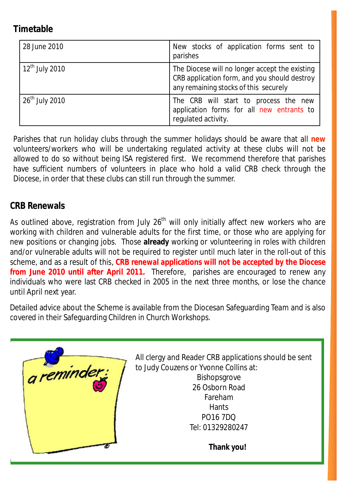#### **Timetable**

| 28 June 2010               | New stocks of application forms sent to<br>parishes                                                                                     |
|----------------------------|-----------------------------------------------------------------------------------------------------------------------------------------|
| $12^{\text{th}}$ July 2010 | The Diocese will no longer accept the existing<br>CRB application form, and you should destroy<br>any remaining stocks of this securely |
| $26th$ July 2010           | The CRB will start to process the new<br>application forms for all new entrants to<br>regulated activity.                               |

Parishes that run holiday clubs through the summer holidays should be aware that all **new**  volunteers/workers who will be undertaking regulated activity at these clubs will not be allowed to do so without being ISA registered first. We recommend therefore that parishes have sufficient numbers of volunteers in place who hold a valid CRB check through the Diocese, in order that these clubs can still run through the summer.

#### **CRB Renewals**

As outlined above, registration from July  $26<sup>th</sup>$  will only initially affect new workers who are working with children and vulnerable adults for the first time, or those who are applying for new positions or changing jobs. Those **already** working or volunteering in roles with children and/or vulnerable adults will not be required to register until much later in the roll-out of this scheme, and as a result of this, **CRB renewal applications will not be accepted by the Diocese from June 2010 until after April 2011.** Therefore, parishes are encouraged to renew any individuals who were last CRB checked in 2005 in the next three months, or lose the chance until April next year.

Detailed advice about the Scheme is available from the Diocesan Safeguarding Team and is also covered in their Safeguarding Children in Church Workshops.